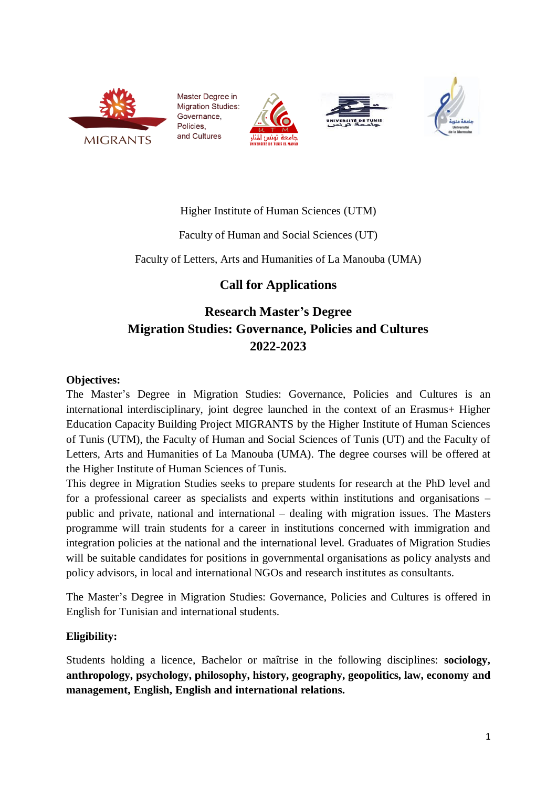

Master Degree in **Migration Studies:** Governance. Policies. and Cultures







### Higher Institute of Human Sciences (UTM)

### Faculty of Human and Social Sciences (UT)

Faculty of Letters, Arts and Humanities of La Manouba (UMA)

## **Call for Applications**

# **Research Master's Degree Migration Studies: Governance, Policies and Cultures 2022-2023**

### **Objectives:**

The Master's Degree in Migration Studies: Governance, Policies and Cultures is an international interdisciplinary, joint degree launched in the context of an Erasmus+ Higher Education Capacity Building Project MIGRANTS by the Higher Institute of Human Sciences of Tunis (UTM), the Faculty of Human and Social Sciences of Tunis (UT) and the Faculty of Letters, Arts and Humanities of La Manouba (UMA). The degree courses will be offered at the Higher Institute of Human Sciences of Tunis.

This degree in Migration Studies seeks to prepare students for research at the PhD level and for a professional career as specialists and experts within institutions and organisations – public and private, national and international – dealing with migration issues. The Masters programme will train students for a career in institutions concerned with immigration and integration policies at the national and the international level. Graduates of Migration Studies will be suitable candidates for positions in governmental organisations as policy analysts and policy advisors, in local and international NGOs and research institutes as consultants.

The Master's Degree in Migration Studies: Governance, Policies and Cultures is offered in English for Tunisian and international students.

### **Eligibility:**

Students holding a licence, Bachelor or maîtrise in the following disciplines: **sociology, anthropology, psychology, philosophy, history, geography, geopolitics, law, economy and management, English, English and international relations.**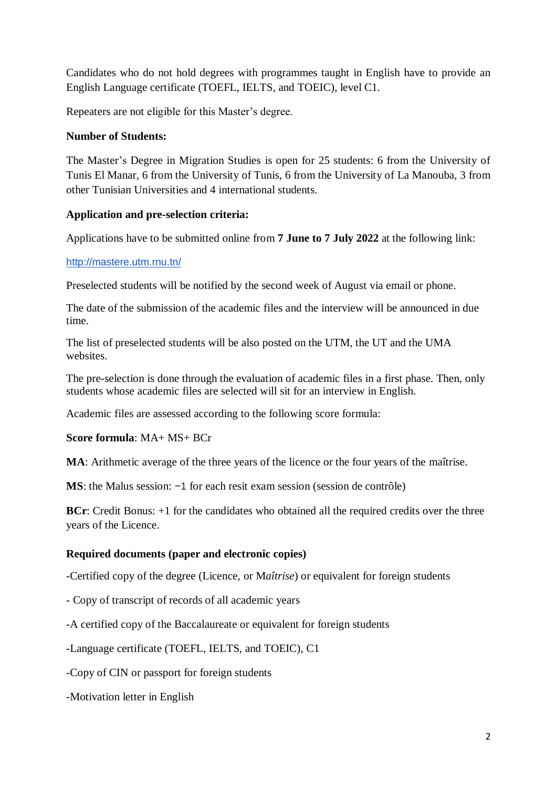Candidates who do not hold degrees with programmes taught in English have to provide an English Language certificate (TOEFL, IELTS, and TOEIC), level C1.

Repeaters are not eligible for this Master's degree.

### **Number of Students:**

The Master's Degree in Migration Studies is open for 25 students: 6 from the University of Tunis El Manar, 6 from the University of Tunis, 6 from the University of La Manouba, 3 from other Tunisian Universities and 4 international students.

### **Application and pre-selection criteria:**

Applications have to be submitted online from **7 June to 7 July 2022** at the following link:

#### <http://mastere.utm.rnu.tn/>

Preselected students will be notified by the second week of August via email or phone.

The date of the submission of the academic files and the interview will be announced in due time.

The list of preselected students will be also posted on the UTM, the UT and the UMA websites.

The pre-selection is done through the evaluation of academic files in a first phase. Then, only students whose academic files are selected will sit for an interview in English.

Academic files are assessed according to the following score formula:

**Score formula**: MA+ MS+ BCr

**MA**: Arithmetic average of the three years of the licence or the four years of the maîtrise.

**MS**: the Malus session: −1 for each resit exam session (session de contrôle)

**BCr:** Credit Bonus: +1 for the candidates who obtained all the required credits over the three years of the Licence.

#### **Required documents (paper and electronic copies)**

-Certified copy of the degree (Licence, or M*aîtrise*) or equivalent for foreign students

- Copy of transcript of records of all academic years
- -A certified copy of the Baccalaureate or equivalent for foreign students

-Language certificate (TOEFL, IELTS, and TOEIC), C1

-Copy of CIN or passport for foreign students

-Motivation letter in English